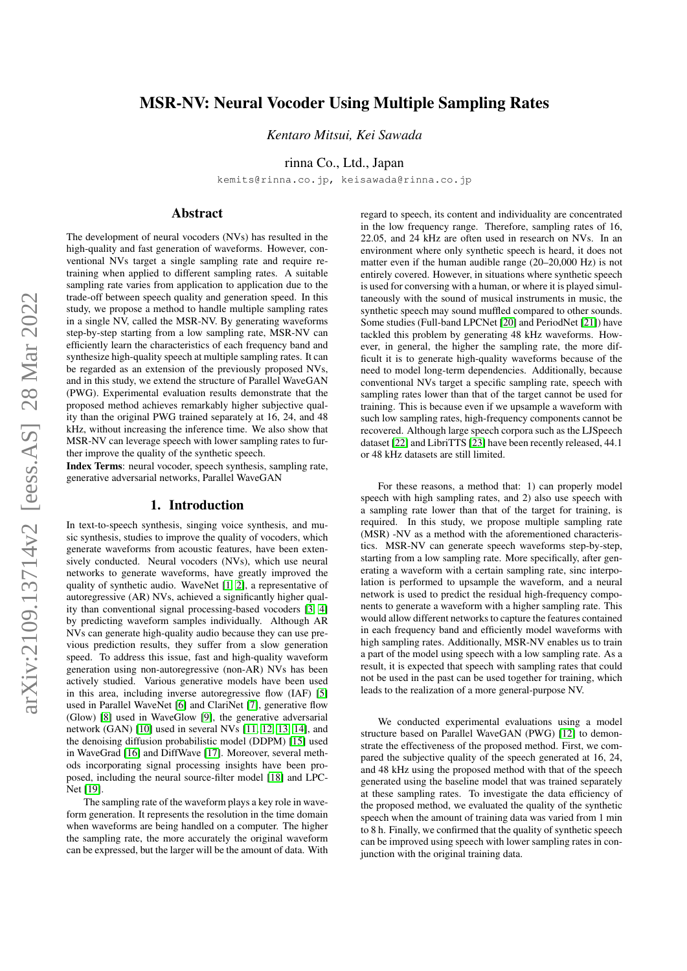# MSR-NV: Neural Vocoder Using Multiple Sampling Rates

*Kentaro Mitsui, Kei Sawada*

rinna Co., Ltd., Japan

kemits@rinna.co.jp, keisawada@rinna.co.jp

### Abstract

The development of neural vocoders (NVs) has resulted in the high-quality and fast generation of waveforms. However, conventional NVs target a single sampling rate and require retraining when applied to different sampling rates. A suitable sampling rate varies from application to application due to the trade-off between speech quality and generation speed. In this study, we propose a method to handle multiple sampling rates in a single NV, called the MSR-NV. By generating waveforms step-by-step starting from a low sampling rate, MSR-NV can efficiently learn the characteristics of each frequency band and synthesize high-quality speech at multiple sampling rates. It can be regarded as an extension of the previously proposed NVs, and in this study, we extend the structure of Parallel WaveGAN (PWG). Experimental evaluation results demonstrate that the proposed method achieves remarkably higher subjective quality than the original PWG trained separately at 16, 24, and 48 kHz, without increasing the inference time. We also show that MSR-NV can leverage speech with lower sampling rates to further improve the quality of the synthetic speech.

Index Terms: neural vocoder, speech synthesis, sampling rate, generative adversarial networks, Parallel WaveGAN

### 1. Introduction

In text-to-speech synthesis, singing voice synthesis, and music synthesis, studies to improve the quality of vocoders, which generate waveforms from acoustic features, have been extensively conducted. Neural vocoders (NVs), which use neural networks to generate waveforms, have greatly improved the quality of synthetic audio. WaveNet [\[1,](#page-4-0) [2\]](#page-4-1), a representative of autoregressive (AR) NVs, achieved a significantly higher quality than conventional signal processing-based vocoders [\[3,](#page-4-2) [4\]](#page-4-3) by predicting waveform samples individually. Although AR NVs can generate high-quality audio because they can use previous prediction results, they suffer from a slow generation speed. To address this issue, fast and high-quality waveform generation using non-autoregressive (non-AR) NVs has been actively studied. Various generative models have been used in this area, including inverse autoregressive flow (IAF) [\[5\]](#page-4-4) used in Parallel WaveNet [\[6\]](#page-4-5) and ClariNet [\[7\]](#page-4-6), generative flow (Glow) [\[8\]](#page-4-7) used in WaveGlow [\[9\]](#page-4-8), the generative adversarial network (GAN) [\[10\]](#page-4-9) used in several NVs [\[11,](#page-4-10) [12,](#page-4-11) [13,](#page-4-12) [14\]](#page-4-13), and the denoising diffusion probabilistic model (DDPM) [\[15\]](#page-4-14) used in WaveGrad [\[16\]](#page-4-15) and DiffWave [\[17\]](#page-4-16). Moreover, several methods incorporating signal processing insights have been proposed, including the neural source-filter model [\[18\]](#page-4-17) and LPC-Net [\[19\]](#page-4-18).

The sampling rate of the waveform plays a key role in waveform generation. It represents the resolution in the time domain when waveforms are being handled on a computer. The higher the sampling rate, the more accurately the original waveform can be expressed, but the larger will be the amount of data. With regard to speech, its content and individuality are concentrated in the low frequency range. Therefore, sampling rates of 16, 22.05, and 24 kHz are often used in research on NVs. In an environment where only synthetic speech is heard, it does not matter even if the human audible range (20–20,000 Hz) is not entirely covered. However, in situations where synthetic speech is used for conversing with a human, or where it is played simultaneously with the sound of musical instruments in music, the synthetic speech may sound muffled compared to other sounds. Some studies (Full-band LPCNet [\[20\]](#page-4-19) and PeriodNet [\[21\]](#page-4-20)) have tackled this problem by generating 48 kHz waveforms. However, in general, the higher the sampling rate, the more difficult it is to generate high-quality waveforms because of the need to model long-term dependencies. Additionally, because conventional NVs target a specific sampling rate, speech with sampling rates lower than that of the target cannot be used for training. This is because even if we upsample a waveform with such low sampling rates, high-frequency components cannot be recovered. Although large speech corpora such as the LJSpeech dataset [\[22\]](#page-4-21) and LibriTTS [\[23\]](#page-4-22) have been recently released, 44.1 or 48 kHz datasets are still limited.

For these reasons, a method that: 1) can properly model speech with high sampling rates, and 2) also use speech with a sampling rate lower than that of the target for training, is required. In this study, we propose multiple sampling rate (MSR) -NV as a method with the aforementioned characteristics. MSR-NV can generate speech waveforms step-by-step, starting from a low sampling rate. More specifically, after generating a waveform with a certain sampling rate, sinc interpolation is performed to upsample the waveform, and a neural network is used to predict the residual high-frequency components to generate a waveform with a higher sampling rate. This would allow different networks to capture the features contained in each frequency band and efficiently model waveforms with high sampling rates. Additionally, MSR-NV enables us to train a part of the model using speech with a low sampling rate. As a result, it is expected that speech with sampling rates that could not be used in the past can be used together for training, which leads to the realization of a more general-purpose NV.

We conducted experimental evaluations using a model structure based on Parallel WaveGAN (PWG) [\[12\]](#page-4-11) to demonstrate the effectiveness of the proposed method. First, we compared the subjective quality of the speech generated at 16, 24, and 48 kHz using the proposed method with that of the speech generated using the baseline model that was trained separately at these sampling rates. To investigate the data efficiency of the proposed method, we evaluated the quality of the synthetic speech when the amount of training data was varied from 1 min to 8 h. Finally, we confirmed that the quality of synthetic speech can be improved using speech with lower sampling rates in conjunction with the original training data.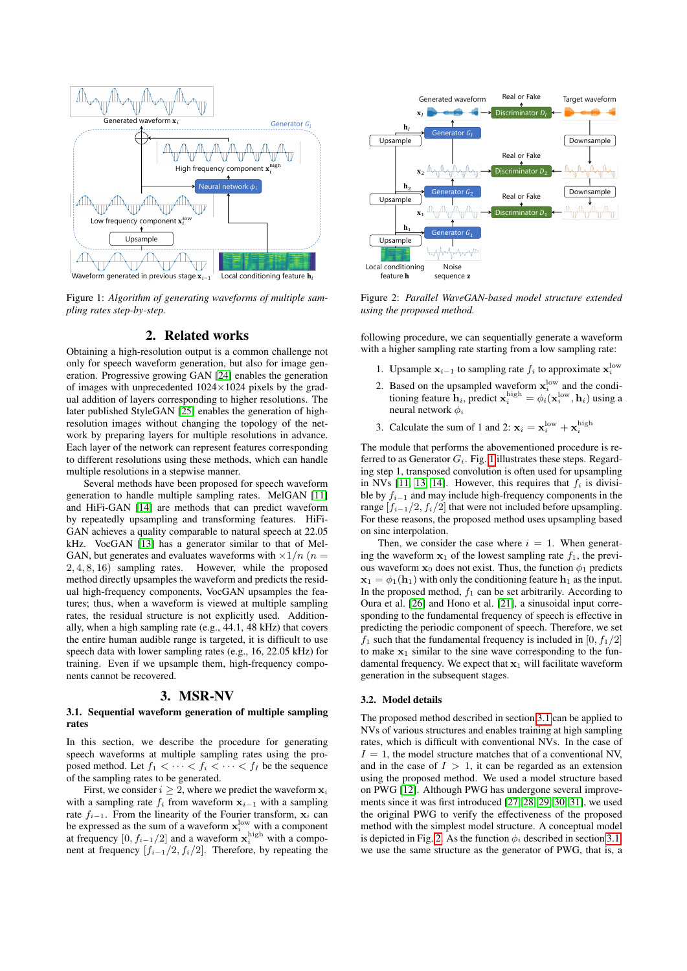<span id="page-1-0"></span>

Figure 1: *Algorithm of generating waveforms of multiple sampling rates step-by-step.*

### 2. Related works

Obtaining a high-resolution output is a common challenge not only for speech waveform generation, but also for image generation. Progressive growing GAN [\[24\]](#page-4-23) enables the generation of images with unprecedented  $1024 \times 1024$  pixels by the gradual addition of layers corresponding to higher resolutions. The later published StyleGAN [\[25\]](#page-4-24) enables the generation of highresolution images without changing the topology of the network by preparing layers for multiple resolutions in advance. Each layer of the network can represent features corresponding to different resolutions using these methods, which can handle multiple resolutions in a stepwise manner.

Several methods have been proposed for speech waveform generation to handle multiple sampling rates. MelGAN [\[11\]](#page-4-10) and HiFi-GAN [\[14\]](#page-4-13) are methods that can predict waveform by repeatedly upsampling and transforming features. HiFi-GAN achieves a quality comparable to natural speech at 22.05 kHz. VocGAN [\[13\]](#page-4-12) has a generator similar to that of Mel-GAN, but generates and evaluates waveforms with  $\times 1/n$  ( $n =$ 2, 4, 8, 16) sampling rates. However, while the proposed method directly upsamples the waveform and predicts the residual high-frequency components, VocGAN upsamples the features; thus, when a waveform is viewed at multiple sampling rates, the residual structure is not explicitly used. Additionally, when a high sampling rate (e.g., 44.1, 48 kHz) that covers the entire human audible range is targeted, it is difficult to use speech data with lower sampling rates (e.g., 16, 22.05 kHz) for training. Even if we upsample them, high-frequency components cannot be recovered.

### 3. MSR-NV

#### <span id="page-1-1"></span>3.1. Sequential waveform generation of multiple sampling rates

In this section, we describe the procedure for generating speech waveforms at multiple sampling rates using the proposed method. Let  $f_1 < \cdots < f_i < \cdots < f_I$  be the sequence of the sampling rates to be generated.

First, we consider  $i \geq 2$ , where we predict the waveform  $x_i$ with a sampling rate  $f_i$  from waveform  $x_{i-1}$  with a sampling rate  $f_{i-1}$ . From the linearity of the Fourier transform,  $x_i$  can be expressed as the sum of a waveform  $\mathbf{x}_i^{\text{low}}$  with a component at frequency  $[0, f_{i-1}/2]$  and a waveform  $\mathbf{x}_i^{\text{high}}$  with a component at frequency  $[f_{i-1}/2, f_i/2]$ . Therefore, by repeating the

<span id="page-1-2"></span>

Figure 2: *Parallel WaveGAN-based model structure extended using the proposed method.*

following procedure, we can sequentially generate a waveform with a higher sampling rate starting from a low sampling rate:

- 1. Upsample  $\mathbf{x}_{i-1}$  to sampling rate  $f_i$  to approximate  $\mathbf{x}_i^{\text{low}}$
- 2. Based on the upsampled waveform  $x_i^{\text{low}}$  and the conditioning feature  $\mathbf{h}_i$ , predict  $\mathbf{x}_i^{\text{high}} = \phi_i(\mathbf{x}_i^{\text{low}}, \mathbf{h}_i)$  using a neural network  $\phi_i$
- 3. Calculate the sum of 1 and 2:  $\mathbf{x}_i = \mathbf{x}_i^{\text{low}} + \mathbf{x}_i^{\text{high}}$

The module that performs the abovementioned procedure is referred to as Generator  $G_i$ . Fig. [1](#page-1-0) illustrates these steps. Regarding step 1, transposed convolution is often used for upsampling in NVs [\[11,](#page-4-10) [13,](#page-4-12) [14\]](#page-4-13). However, this requires that  $f_i$  is divisible by  $f_{i-1}$  and may include high-frequency components in the range  $[f_{i-1}/2, f_i/2]$  that were not included before upsampling. For these reasons, the proposed method uses upsampling based on sinc interpolation.

Then, we consider the case where  $i = 1$ . When generating the waveform  $x_1$  of the lowest sampling rate  $f_1$ , the previous waveform  $x_0$  does not exist. Thus, the function  $\phi_1$  predicts  $\mathbf{x}_1 = \phi_1(\mathbf{h}_1)$  with only the conditioning feature  $\mathbf{h}_1$  as the input. In the proposed method,  $f_1$  can be set arbitrarily. According to Oura et al. [\[26\]](#page-4-25) and Hono et al. [\[21\]](#page-4-20), a sinusoidal input corresponding to the fundamental frequency of speech is effective in predicting the periodic component of speech. Therefore, we set  $f_1$  such that the fundamental frequency is included in [0,  $f_1/2$ ] to make  $x_1$  similar to the sine wave corresponding to the fundamental frequency. We expect that  $x_1$  will facilitate waveform generation in the subsequent stages.

#### <span id="page-1-3"></span>3.2. Model details

The proposed method described in section [3.1](#page-1-1) can be applied to NVs of various structures and enables training at high sampling rates, which is difficult with conventional NVs. In the case of  $I = 1$ , the model structure matches that of a conventional NV, and in the case of  $I > 1$ , it can be regarded as an extension using the proposed method. We used a model structure based on PWG [\[12\]](#page-4-11). Although PWG has undergone several improvements since it was first introduced [\[27,](#page-4-26) [28,](#page-4-27) [29,](#page-4-28) [30,](#page-4-29) [31\]](#page-4-30), we used the original PWG to verify the effectiveness of the proposed method with the simplest model structure. A conceptual model is depicted in Fig. [2.](#page-1-2) As the function  $\phi_i$  described in section [3.1,](#page-1-1) we use the same structure as the generator of PWG, that is, a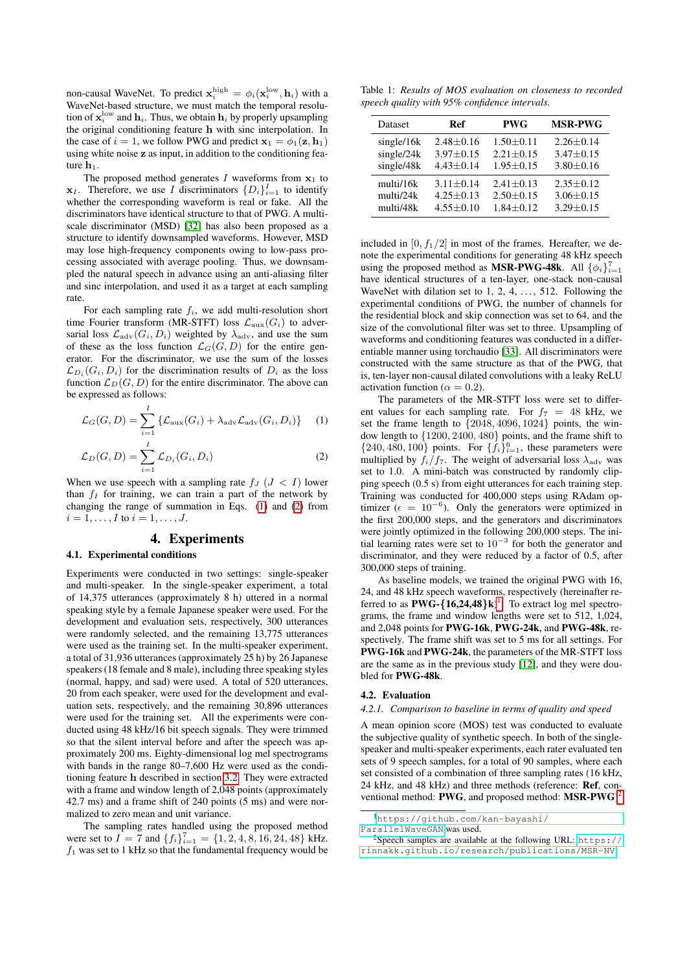non-causal WaveNet. To predict  $\mathbf{x}_i^{\text{high}} = \phi_i(\mathbf{x}_i^{\text{low}}, \mathbf{h}_i)$  with a WaveNet-based structure, we must match the temporal resolution of  $\mathbf{x}_i^{\mathrm{low}}$  and  $\mathbf{h}_i$ . Thus, we obtain  $\mathbf{h}_i$  by properly upsampling the original conditioning feature h with sinc interpolation. In the case of  $i = 1$ , we follow PWG and predict  $x_1 = \phi_1(z, h_1)$ using white noise z as input, in addition to the conditioning feature  $h_1$ .

The proposed method generates I waveforms from  $x_1$  to  $x_I$ . Therefore, we use *I* discriminators  $\{D_i\}_{i=1}^I$  to identify whether the corresponding waveform is real or fake. All the discriminators have identical structure to that of PWG. A multiscale discriminator (MSD) [\[32\]](#page-4-31) has also been proposed as a structure to identify downsampled waveforms. However, MSD may lose high-frequency components owing to low-pass processing associated with average pooling. Thus, we downsampled the natural speech in advance using an anti-aliasing filter and sinc interpolation, and used it as a target at each sampling rate

For each sampling rate  $f_i$ , we add multi-resolution short time Fourier transform (MR-STFT) loss  $\mathcal{L}_{aux}(G_i)$  to adversarial loss  $\mathcal{L}_{\text{adv}}(G_i, D_i)$  weighted by  $\lambda_{\text{adv}}$ , and use the sum of these as the loss function  $\mathcal{L}_G(G, D)$  for the entire generator. For the discriminator, we use the sum of the losses  $\mathcal{L}_{D_i}(G_i, D_i)$  for the discrimination results of  $D_i$  as the loss function  $\mathcal{L}_D(G, D)$  for the entire discriminator. The above can be expressed as follows:

$$
\mathcal{L}_G(G, D) = \sum_{i=1}^{I} \{ \mathcal{L}_{\text{aux}}(G_i) + \lambda_{\text{adv}} \mathcal{L}_{\text{adv}}(G_i, D_i) \} \quad (1)
$$

$$
\mathcal{L}_D(G, D) = \sum_{i=1}^I \mathcal{L}_{D_i}(G_i, D_i)
$$
 (2)

When we use speech with a sampling rate  $f_J$  ( $J < I$ ) lower than  $f_I$  for training, we can train a part of the network by changing the range of summation in Eqs. [\(1\)](#page-2-0) and [\(2\)](#page-2-1) from  $i = 1, \ldots, I$  to  $i = 1, \ldots, J$ .

### 4. Experiments

#### 4.1. Experimental conditions

Experiments were conducted in two settings: single-speaker and multi-speaker. In the single-speaker experiment, a total of 14,375 utterances (approximately 8 h) uttered in a normal speaking style by a female Japanese speaker were used. For the development and evaluation sets, respectively, 300 utterances were randomly selected, and the remaining 13,775 utterances were used as the training set. In the multi-speaker experiment, a total of 31,936 utterances (approximately 25 h) by 26 Japanese speakers (18 female and 8 male), including three speaking styles (normal, happy, and sad) were used. A total of 520 utterances, 20 from each speaker, were used for the development and evaluation sets, respectively, and the remaining 30,896 utterances were used for the training set. All the experiments were conducted using 48 kHz/16 bit speech signals. They were trimmed so that the silent interval before and after the speech was approximately 200 ms. Eighty-dimensional log mel spectrograms with bands in the range 80–7,600 Hz were used as the conditioning feature h described in section [3.2.](#page-1-3) They were extracted with a frame and window length of 2,048 points (approximately 42.7 ms) and a frame shift of 240 points (5 ms) and were normalized to zero mean and unit variance.

The sampling rates handled using the proposed method were set to  $I = 7$  and  $\{f_i\}_{i=1}^7 = \{1, 2, 4, 8, 16, 24, 48\}$  kHz.  $f_1$  was set to 1 kHz so that the fundamental frequency would be

<span id="page-2-4"></span>Table 1: *Results of MOS evaluation on closeness to recorded speech quality with 95% confidence intervals.*

| Dataset    | Ref             | <b>PWG</b>      | <b>MSR-PWG</b>  |
|------------|-----------------|-----------------|-----------------|
| single/16k | $2.48 \pm 0.16$ | $1.50 \pm 0.11$ | $2.26 \pm 0.14$ |
| single/24k | $3.97 \pm 0.15$ | $2.21 \pm 0.15$ | $3.47 \pm 0.15$ |
| single/48k | $4.43 \pm 0.14$ | $1.95 \pm 0.15$ | $3.80 \pm 0.16$ |
| multi/16k  | $3.11 + 0.14$   | $2.41 + 0.13$   | $2.35 \pm 0.12$ |
| multi/24k  | $4.25 \pm 0.13$ | $2.50 \pm 0.15$ | $3.06 \pm 0.15$ |
| multi/48k  | $4.55 \pm 0.10$ | $1.84 \pm 0.12$ | $3.29 \pm 0.15$ |

included in  $[0, f_1/2]$  in most of the frames. Hereafter, we denote the experimental conditions for generating 48 kHz speech using the proposed method as **MSR-PWG-48k**. All  $\{\phi_i\}_{i=1}^7$ have identical structures of a ten-layer, one-stack non-causal WaveNet with dilation set to  $1, 2, 4, \ldots, 512$ . Following the experimental conditions of PWG, the number of channels for the residential block and skip connection was set to 64, and the size of the convolutional filter was set to three. Upsampling of waveforms and conditioning features was conducted in a differentiable manner using torchaudio [\[33\]](#page-4-32). All discriminators were constructed with the same structure as that of the PWG, that is, ten-layer non-causal dilated convolutions with a leaky ReLU activation function ( $\alpha = 0.2$ ).

<span id="page-2-1"></span><span id="page-2-0"></span>The parameters of the MR-STFT loss were set to different values for each sampling rate. For  $f_7 = 48$  kHz, we set the frame length to {2048, 4096, 1024} points, the window length to {1200, 2400, 480} points, and the frame shift to  $\{240, 480, 100\}$  points. For  $\{f_i\}_{i=1}^6$ , these parameters were multiplied by  $f_i/f_7$ . The weight of adversarial loss  $\lambda_{\text{adv}}$  was set to 1.0. A mini-batch was constructed by randomly clipping speech (0.5 s) from eight utterances for each training step. Training was conducted for 400,000 steps using RAdam optimizer ( $\epsilon = 10^{-6}$ ). Only the generators were optimized in the first 200,000 steps, and the generators and discriminators were jointly optimized in the following 200,000 steps. The initial learning rates were set to  $10^{-3}$  for both the generator and discriminator, and they were reduced by a factor of 0.5, after 300,000 steps of training.

As baseline models, we trained the original PWG with 16, 24, and 48 kHz speech waveforms, respectively (hereinafter referred to as  $PWG - {16,24,48}k$  $PWG - {16,24,48}k$  $PWG - {16,24,48}k$ <sup>1</sup>. To extract log mel spectrograms, the frame and window lengths were set to 512, 1,024, and 2,048 points for PWG-16k, PWG-24k, and PWG-48k, respectively. The frame shift was set to 5 ms for all settings. For PWG-16k and PWG-24k, the parameters of the MR-STFT loss are the same as in the previous study [\[12\]](#page-4-11), and they were doubled for PWG-48k.

#### 4.2. Evaluation

### <span id="page-2-5"></span>*4.2.1. Comparison to baseline in terms of quality and speed*

A mean opinion score (MOS) test was conducted to evaluate the subjective quality of synthetic speech. In both of the singlespeaker and multi-speaker experiments, each rater evaluated ten sets of 9 speech samples, for a total of 90 samples, where each set consisted of a combination of three sampling rates (16 kHz, 24 kHz, and 48 kHz) and three methods (reference: Ref, conventional method:  $PWG$ , and proposed method:  $MSR-PWG$ <sup>[2](#page-2-3)</sup>

<span id="page-2-2"></span><sup>1</sup>[https://github.com/kan-bayashi/](https://github.com/kan-bayashi/ParallelWaveGAN)

[ParallelWaveGAN](https://github.com/kan-bayashi/ParallelWaveGAN) was used.

<span id="page-2-3"></span><sup>&</sup>lt;sup>2</sup>Speech samples are available at the following URL: [https://](https://rinnakk.github.io/research/publications/MSR-NV) [rinnakk.github.io/research/publications/MSR-NV](https://rinnakk.github.io/research/publications/MSR-NV).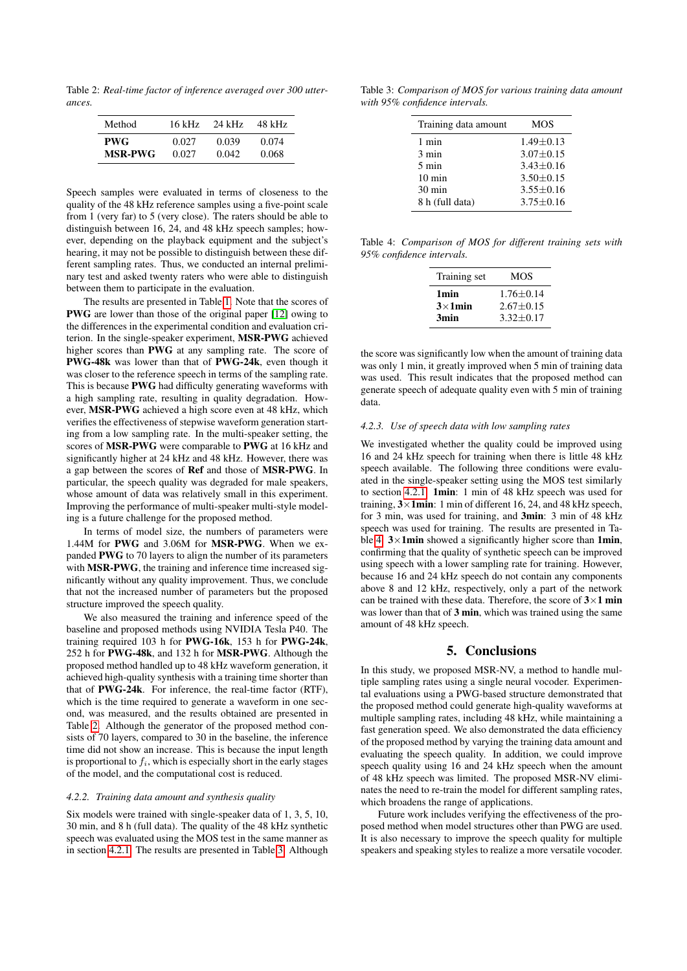<span id="page-3-0"></span>Table 2: *Real-time factor of inference averaged over 300 utterances.*

| Method         | 16 kHz | 24 kHz | 48 kHz |
|----------------|--------|--------|--------|
| <b>PWG</b>     | 0.027  | 0.039  | 0.074  |
| <b>MSR-PWG</b> | 0.027  | 0.042  | 0.068  |

Speech samples were evaluated in terms of closeness to the quality of the 48 kHz reference samples using a five-point scale from 1 (very far) to 5 (very close). The raters should be able to distinguish between 16, 24, and 48 kHz speech samples; however, depending on the playback equipment and the subject's hearing, it may not be possible to distinguish between these different sampling rates. Thus, we conducted an internal preliminary test and asked twenty raters who were able to distinguish between them to participate in the evaluation.

The results are presented in Table [1.](#page-2-4) Note that the scores of PWG are lower than those of the original paper [\[12\]](#page-4-11) owing to the differences in the experimental condition and evaluation criterion. In the single-speaker experiment, MSR-PWG achieved higher scores than PWG at any sampling rate. The score of PWG-48k was lower than that of PWG-24k, even though it was closer to the reference speech in terms of the sampling rate. This is because PWG had difficulty generating waveforms with a high sampling rate, resulting in quality degradation. However, MSR-PWG achieved a high score even at 48 kHz, which verifies the effectiveness of stepwise waveform generation starting from a low sampling rate. In the multi-speaker setting, the scores of MSR-PWG were comparable to PWG at 16 kHz and significantly higher at 24 kHz and 48 kHz. However, there was a gap between the scores of Ref and those of MSR-PWG. In particular, the speech quality was degraded for male speakers, whose amount of data was relatively small in this experiment. Improving the performance of multi-speaker multi-style modeling is a future challenge for the proposed method.

In terms of model size, the numbers of parameters were 1.44M for PWG and 3.06M for MSR-PWG. When we expanded PWG to 70 layers to align the number of its parameters with **MSR-PWG**, the training and inference time increased significantly without any quality improvement. Thus, we conclude that not the increased number of parameters but the proposed structure improved the speech quality.

We also measured the training and inference speed of the baseline and proposed methods using NVIDIA Tesla P40. The training required 103 h for PWG-16k, 153 h for PWG-24k, 252 h for PWG-48k, and 132 h for MSR-PWG. Although the proposed method handled up to 48 kHz waveform generation, it achieved high-quality synthesis with a training time shorter than that of PWG-24k. For inference, the real-time factor (RTF), which is the time required to generate a waveform in one second, was measured, and the results obtained are presented in Table [2.](#page-3-0) Although the generator of the proposed method consists of 70 layers, compared to 30 in the baseline, the inference time did not show an increase. This is because the input length is proportional to  $f_i$ , which is especially short in the early stages of the model, and the computational cost is reduced.

#### *4.2.2. Training data amount and synthesis quality*

Six models were trained with single-speaker data of 1, 3, 5, 10, 30 min, and 8 h (full data). The quality of the 48 kHz synthetic speech was evaluated using the MOS test in the same manner as in section [4.2.1.](#page-2-5) The results are presented in Table [3.](#page-3-1) Although

<span id="page-3-1"></span>Table 3: *Comparison of MOS for various training data amount with 95% confidence intervals.*

| Training data amount | <b>MOS</b>      |
|----------------------|-----------------|
| 1 min                | $1.49 \pm 0.13$ |
| 3 min                | $3.07 \pm 0.15$ |
| $5 \text{ min}$      | $3.43 + 0.16$   |
| $10 \text{ min}$     | $3.50 + 0.15$   |
| $30 \text{ min}$     | $3.55 \pm 0.16$ |
| 8 h (full data)      | $3.75 + 0.16$   |

<span id="page-3-2"></span>Table 4: *Comparison of MOS for different training sets with 95% confidence intervals.*

| Training set                                | MOS                                             |
|---------------------------------------------|-------------------------------------------------|
| 1 <sub>min</sub><br>$3\times 1$ min<br>3min | $1.76 + 0.14$<br>$2.67 + 0.15$<br>$3.32 + 0.17$ |
|                                             |                                                 |

the score was significantly low when the amount of training data was only 1 min, it greatly improved when 5 min of training data was used. This result indicates that the proposed method can generate speech of adequate quality even with 5 min of training data.

#### *4.2.3. Use of speech data with low sampling rates*

We investigated whether the quality could be improved using 16 and 24 kHz speech for training when there is little 48 kHz speech available. The following three conditions were evaluated in the single-speaker setting using the MOS test similarly to section [4.2.1:](#page-2-5) 1min: 1 min of 48 kHz speech was used for training,  $3 \times 1$ min: 1 min of different 16, 24, and 48 kHz speech, for 3 min, was used for training, and 3min: 3 min of 48 kHz speech was used for training. The results are presented in Ta-ble [4.](#page-3-2)  $3 \times 1$ min showed a significantly higher score than 1min, confirming that the quality of synthetic speech can be improved using speech with a lower sampling rate for training. However, because 16 and 24 kHz speech do not contain any components above 8 and 12 kHz, respectively, only a part of the network can be trained with these data. Therefore, the score of  $3\times1$  min was lower than that of 3 min, which was trained using the same amount of 48 kHz speech.

### 5. Conclusions

In this study, we proposed MSR-NV, a method to handle multiple sampling rates using a single neural vocoder. Experimental evaluations using a PWG-based structure demonstrated that the proposed method could generate high-quality waveforms at multiple sampling rates, including 48 kHz, while maintaining a fast generation speed. We also demonstrated the data efficiency of the proposed method by varying the training data amount and evaluating the speech quality. In addition, we could improve speech quality using 16 and 24 kHz speech when the amount of 48 kHz speech was limited. The proposed MSR-NV eliminates the need to re-train the model for different sampling rates, which broadens the range of applications.

Future work includes verifying the effectiveness of the proposed method when model structures other than PWG are used. It is also necessary to improve the speech quality for multiple speakers and speaking styles to realize a more versatile vocoder.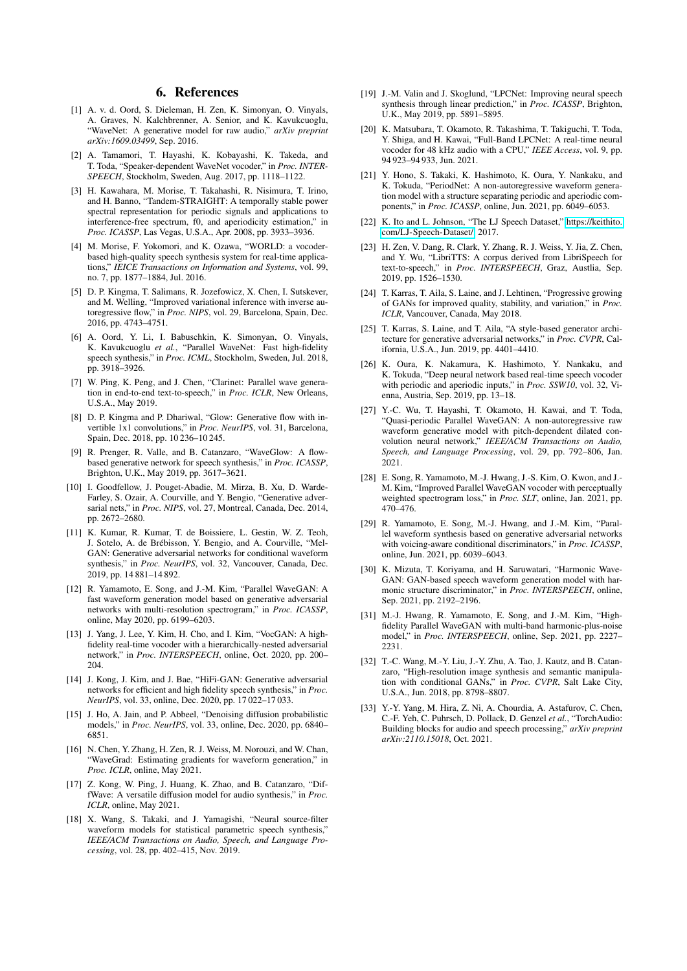### 6. References

- <span id="page-4-0"></span>[1] A. v. d. Oord, S. Dieleman, H. Zen, K. Simonyan, O. Vinyals, A. Graves, N. Kalchbrenner, A. Senior, and K. Kavukcuoglu, "WaveNet: A generative model for raw audio," *arXiv preprint arXiv:1609.03499*, Sep. 2016.
- <span id="page-4-1"></span>[2] A. Tamamori, T. Hayashi, K. Kobayashi, K. Takeda, and T. Toda, "Speaker-dependent WaveNet vocoder," in *Proc. INTER-SPEECH*, Stockholm, Sweden, Aug. 2017, pp. 1118–1122.
- <span id="page-4-2"></span>[3] H. Kawahara, M. Morise, T. Takahashi, R. Nisimura, T. Irino, and H. Banno, "Tandem-STRAIGHT: A temporally stable power spectral representation for periodic signals and applications to interference-free spectrum, f0, and aperiodicity estimation," in *Proc. ICASSP*, Las Vegas, U.S.A., Apr. 2008, pp. 3933–3936.
- <span id="page-4-3"></span>[4] M. Morise, F. Yokomori, and K. Ozawa, "WORLD: a vocoderbased high-quality speech synthesis system for real-time applications," *IEICE Transactions on Information and Systems*, vol. 99, no. 7, pp. 1877–1884, Jul. 2016.
- <span id="page-4-4"></span>[5] D. P. Kingma, T. Salimans, R. Jozefowicz, X. Chen, I. Sutskever, and M. Welling, "Improved variational inference with inverse autoregressive flow," in *Proc. NIPS*, vol. 29, Barcelona, Spain, Dec. 2016, pp. 4743–4751.
- <span id="page-4-5"></span>[6] A. Oord, Y. Li, I. Babuschkin, K. Simonyan, O. Vinyals, K. Kavukcuoglu *et al.*, "Parallel WaveNet: Fast high-fidelity speech synthesis," in *Proc. ICML*, Stockholm, Sweden, Jul. 2018, pp. 3918–3926.
- <span id="page-4-6"></span>[7] W. Ping, K. Peng, and J. Chen, "Clarinet: Parallel wave generation in end-to-end text-to-speech," in *Proc. ICLR*, New Orleans, U.S.A., May 2019.
- <span id="page-4-7"></span>[8] D. P. Kingma and P. Dhariwal, "Glow: Generative flow with invertible 1x1 convolutions," in *Proc. NeurIPS*, vol. 31, Barcelona, Spain, Dec. 2018, pp. 10 236–10 245.
- <span id="page-4-8"></span>[9] R. Prenger, R. Valle, and B. Catanzaro, "WaveGlow: A flowbased generative network for speech synthesis," in *Proc. ICASSP*, Brighton, U.K., May 2019, pp. 3617–3621.
- <span id="page-4-9"></span>[10] I. Goodfellow, J. Pouget-Abadie, M. Mirza, B. Xu, D. Warde-Farley, S. Ozair, A. Courville, and Y. Bengio, "Generative adversarial nets," in *Proc. NIPS*, vol. 27, Montreal, Canada, Dec. 2014, pp. 2672–2680.
- <span id="page-4-10"></span>[11] K. Kumar, R. Kumar, T. de Boissiere, L. Gestin, W. Z. Teoh, J. Sotelo, A. de Brebisson, Y. Bengio, and A. Courville, "Mel- ´ GAN: Generative adversarial networks for conditional waveform synthesis," in *Proc. NeurIPS*, vol. 32, Vancouver, Canada, Dec. 2019, pp. 14 881–14 892.
- <span id="page-4-11"></span>[12] R. Yamamoto, E. Song, and J.-M. Kim, "Parallel WaveGAN: A fast waveform generation model based on generative adversarial networks with multi-resolution spectrogram," in *Proc. ICASSP*, online, May 2020, pp. 6199–6203.
- <span id="page-4-12"></span>[13] J. Yang, J. Lee, Y. Kim, H. Cho, and I. Kim, "VocGAN: A highfidelity real-time vocoder with a hierarchically-nested adversarial network," in *Proc. INTERSPEECH*, online, Oct. 2020, pp. 200– 204.
- <span id="page-4-13"></span>[14] J. Kong, J. Kim, and J. Bae, "HiFi-GAN: Generative adversarial networks for efficient and high fidelity speech synthesis," in *Proc. NeurIPS*, vol. 33, online, Dec. 2020, pp. 17 022–17 033.
- <span id="page-4-14"></span>[15] J. Ho, A. Jain, and P. Abbeel, "Denoising diffusion probabilistic models," in *Proc. NeurIPS*, vol. 33, online, Dec. 2020, pp. 6840– 6851.
- <span id="page-4-15"></span>[16] N. Chen, Y. Zhang, H. Zen, R. J. Weiss, M. Norouzi, and W. Chan, "WaveGrad: Estimating gradients for waveform generation," in *Proc. ICLR*, online, May 2021.
- <span id="page-4-16"></span>[17] Z. Kong, W. Ping, J. Huang, K. Zhao, and B. Catanzaro, "DiffWave: A versatile diffusion model for audio synthesis," in *Proc. ICLR*, online, May 2021.
- <span id="page-4-17"></span>[18] X. Wang, S. Takaki, and J. Yamagishi, "Neural source-filter waveform models for statistical parametric speech synthesis," *IEEE/ACM Transactions on Audio, Speech, and Language Processing*, vol. 28, pp. 402–415, Nov. 2019.
- <span id="page-4-18"></span>[19] J.-M. Valin and J. Skoglund, "LPCNet: Improving neural speech synthesis through linear prediction," in *Proc. ICASSP*, Brighton, U.K., May 2019, pp. 5891–5895.
- <span id="page-4-19"></span>[20] K. Matsubara, T. Okamoto, R. Takashima, T. Takiguchi, T. Toda, Y. Shiga, and H. Kawai, "Full-Band LPCNet: A real-time neural vocoder for 48 kHz audio with a CPU," *IEEE Access*, vol. 9, pp. 94 923–94 933, Jun. 2021.
- <span id="page-4-20"></span>[21] Y. Hono, S. Takaki, K. Hashimoto, K. Oura, Y. Nankaku, and K. Tokuda, "PeriodNet: A non-autoregressive waveform generation model with a structure separating periodic and aperiodic components," in *Proc. ICASSP*, online, Jun. 2021, pp. 6049–6053.
- <span id="page-4-21"></span>[22] K. Ito and L. Johnson, "The LJ Speech Dataset," [https://keithito.](https://keithito.com/LJ-Speech-Dataset/) [com/LJ-Speech-Dataset/,](https://keithito.com/LJ-Speech-Dataset/) 2017.
- <span id="page-4-22"></span>[23] H. Zen, V. Dang, R. Clark, Y. Zhang, R. J. Weiss, Y. Jia, Z. Chen, and Y. Wu, "LibriTTS: A corpus derived from LibriSpeech for text-to-speech," in *Proc. INTERSPEECH*, Graz, Austlia, Sep. 2019, pp. 1526–1530.
- <span id="page-4-23"></span>[24] T. Karras, T. Aila, S. Laine, and J. Lehtinen, "Progressive growing of GANs for improved quality, stability, and variation," in *Proc. ICLR*, Vancouver, Canada, May 2018.
- <span id="page-4-24"></span>[25] T. Karras, S. Laine, and T. Aila, "A style-based generator architecture for generative adversarial networks," in *Proc. CVPR*, California, U.S.A., Jun. 2019, pp. 4401–4410.
- <span id="page-4-25"></span>[26] K. Oura, K. Nakamura, K. Hashimoto, Y. Nankaku, and K. Tokuda, "Deep neural network based real-time speech vocoder with periodic and aperiodic inputs," in *Proc. SSW10*, vol. 32, Vienna, Austria, Sep. 2019, pp. 13–18.
- <span id="page-4-26"></span>[27] Y.-C. Wu, T. Hayashi, T. Okamoto, H. Kawai, and T. Toda, "Quasi-periodic Parallel WaveGAN: A non-autoregressive raw waveform generative model with pitch-dependent dilated convolution neural network," *IEEE/ACM Transactions on Audio, Speech, and Language Processing*, vol. 29, pp. 792–806, Jan. 2021.
- <span id="page-4-27"></span>[28] E. Song, R. Yamamoto, M.-J. Hwang, J.-S. Kim, O. Kwon, and J.- M. Kim, "Improved Parallel WaveGAN vocoder with perceptually weighted spectrogram loss," in *Proc. SLT*, online, Jan. 2021, pp. 470–476.
- <span id="page-4-28"></span>[29] R. Yamamoto, E. Song, M.-J. Hwang, and J.-M. Kim, "Parallel waveform synthesis based on generative adversarial networks with voicing-aware conditional discriminators," in *Proc. ICASSP*, online, Jun. 2021, pp. 6039–6043.
- <span id="page-4-29"></span>[30] K. Mizuta, T. Koriyama, and H. Saruwatari, "Harmonic Wave-GAN: GAN-based speech waveform generation model with harmonic structure discriminator," in *Proc. INTERSPEECH*, online, Sep. 2021, pp. 2192–2196.
- <span id="page-4-30"></span>[31] M.-J. Hwang, R. Yamamoto, E. Song, and J.-M. Kim, "Highfidelity Parallel WaveGAN with multi-band harmonic-plus-noise model," in *Proc. INTERSPEECH*, online, Sep. 2021, pp. 2227– 2231.
- <span id="page-4-31"></span>[32] T.-C. Wang, M.-Y. Liu, J.-Y. Zhu, A. Tao, J. Kautz, and B. Catanzaro, "High-resolution image synthesis and semantic manipulation with conditional GANs," in *Proc. CVPR*, Salt Lake City, U.S.A., Jun. 2018, pp. 8798–8807.
- <span id="page-4-32"></span>[33] Y.-Y. Yang, M. Hira, Z. Ni, A. Chourdia, A. Astafurov, C. Chen, C.-F. Yeh, C. Puhrsch, D. Pollack, D. Genzel *et al.*, "TorchAudio: Building blocks for audio and speech processing," *arXiv preprint arXiv:2110.15018*, Oct. 2021.